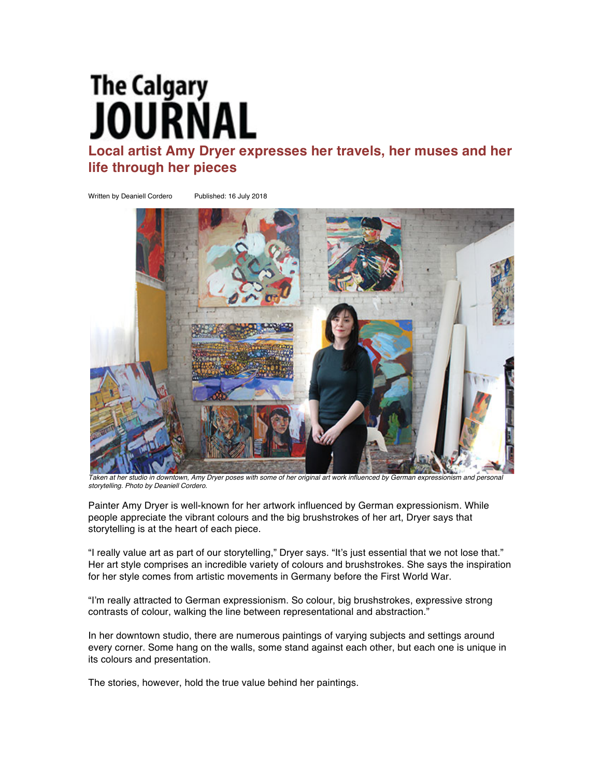## **The Calgary** IIRNAI

**Local artist Amy Dryer expresses her travels, her muses and her life through her pieces**

Written by Deaniell Cordero Published: 16 July 2018



*Taken at her studio in downtown, Amy Dryer poses with some of her original art work influenced by German expressionism and personal storytelling. Photo by Deaniell Cordero.*

Painter Amy Dryer is well-known for her artwork influenced by German expressionism. While people appreciate the vibrant colours and the big brushstrokes of her art, Dryer says that storytelling is at the heart of each piece.

"I really value art as part of our storytelling," Dryer says. "It's just essential that we not lose that." Her art style comprises an incredible variety of colours and brushstrokes. She says the inspiration for her style comes from artistic movements in Germany before the First World War.

"I'm really attracted to German expressionism. So colour, big brushstrokes, expressive strong contrasts of colour, walking the line between representational and abstraction."

In her downtown studio, there are numerous paintings of varying subjects and settings around every corner. Some hang on the walls, some stand against each other, but each one is unique in its colours and presentation.

The stories, however, hold the true value behind her paintings.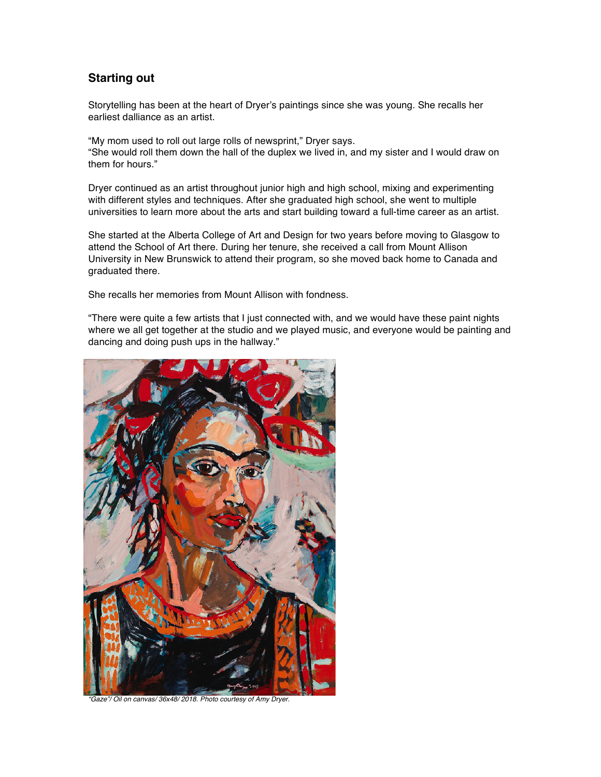## **Starting out**

Storytelling has been at the heart of Dryer's paintings since she was young. She recalls her earliest dalliance as an artist.

"My mom used to roll out large rolls of newsprint," Dryer says. "She would roll them down the hall of the duplex we lived in, and my sister and I would draw on them for hours."

Dryer continued as an artist throughout junior high and high school, mixing and experimenting with different styles and techniques. After she graduated high school, she went to multiple universities to learn more about the arts and start building toward a full-time career as an artist.

She started at the Alberta College of Art and Design for two years before moving to Glasgow to attend the School of Art there. During her tenure, she received a call from Mount Allison University in New Brunswick to attend their program, so she moved back home to Canada and graduated there.

She recalls her memories from Mount Allison with fondness.

"There were quite a few artists that I just connected with, and we would have these paint nights where we all get together at the studio and we played music, and everyone would be painting and dancing and doing push ups in the hallway."



*"Gaze"/ Oil on canvas/ 36x48/ 2018. Photo courtesy of Amy Dryer.*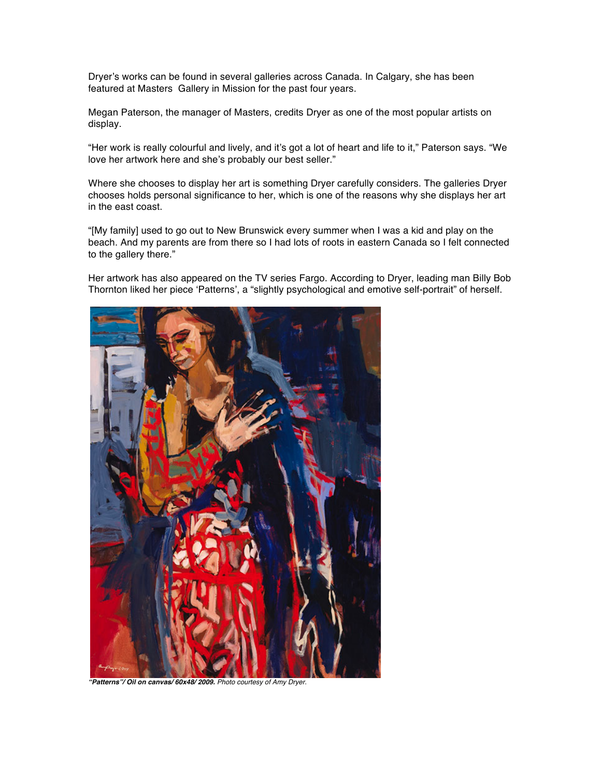Dryer's works can be found in several galleries across Canada. In Calgary, she has been featured at Masters Gallery in Mission for the past four years.

Megan Paterson, the manager of Masters, credits Dryer as one of the most popular artists on display.

"Her work is really colourful and lively, and it's got a lot of heart and life to it," Paterson says. "We love her artwork here and she's probably our best seller."

Where she chooses to display her art is something Dryer carefully considers. The galleries Dryer chooses holds personal significance to her, which is one of the reasons why she displays her art in the east coast.

"[My family] used to go out to New Brunswick every summer when I was a kid and play on the beach. And my parents are from there so I had lots of roots in eastern Canada so I felt connected to the gallery there."

Her artwork has also appeared on the TV series Fargo. According to Dryer, leading man Billy Bob Thornton liked her piece 'Patterns', a "slightly psychological and emotive self-portrait" of herself.



*"Patterns"/ Oil on canvas/ 60x48/ 2009. Photo courtesy of Amy Dryer.*